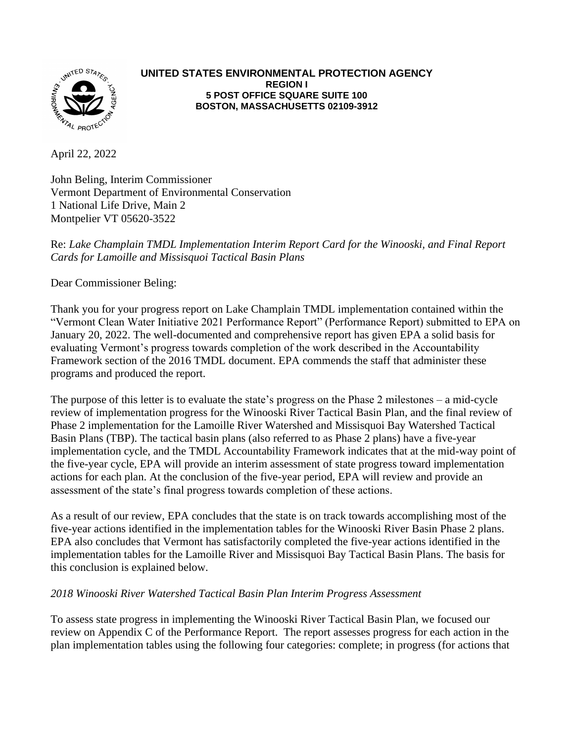

## **UNITED STATES ENVIRONMENTAL PROTECTION AGENCY REGION I 5 POST OFFICE SQUARE SUITE 100 BOSTON, MASSACHUSETTS 02109-3912**

April 22, 2022

John Beling, Interim Commissioner Vermont Department of Environmental Conservation 1 National Life Drive, Main 2 Montpelier VT 05620-3522

Re: *Lake Champlain TMDL Implementation Interim Report Card for the Winooski, and Final Report Cards for Lamoille and Missisquoi Tactical Basin Plans*

Dear Commissioner Beling:

Thank you for your progress report on Lake Champlain TMDL implementation contained within the "Vermont Clean Water Initiative 2021 Performance Report" (Performance Report) submitted to EPA on January 20, 2022. The well-documented and comprehensive report has given EPA a solid basis for evaluating Vermont's progress towards completion of the work described in the Accountability Framework section of the 2016 TMDL document. EPA commends the staff that administer these programs and produced the report.

The purpose of this letter is to evaluate the state's progress on the Phase 2 milestones – a mid-cycle review of implementation progress for the Winooski River Tactical Basin Plan, and the final review of Phase 2 implementation for the Lamoille River Watershed and Missisquoi Bay Watershed Tactical Basin Plans (TBP). The tactical basin plans (also referred to as Phase 2 plans) have a five-year implementation cycle, and the TMDL Accountability Framework indicates that at the mid-way point of the five-year cycle, EPA will provide an interim assessment of state progress toward implementation actions for each plan. At the conclusion of the five-year period, EPA will review and provide an assessment of the state's final progress towards completion of these actions.

As a result of our review, EPA concludes that the state is on track towards accomplishing most of the five-year actions identified in the implementation tables for the Winooski River Basin Phase 2 plans. EPA also concludes that Vermont has satisfactorily completed the five-year actions identified in the implementation tables for the Lamoille River and Missisquoi Bay Tactical Basin Plans. The basis for this conclusion is explained below.

## *2018 Winooski River Watershed Tactical Basin Plan Interim Progress Assessment*

To assess state progress in implementing the Winooski River Tactical Basin Plan, we focused our review on Appendix C of the Performance Report. The report assesses progress for each action in the plan implementation tables using the following four categories: complete; in progress (for actions that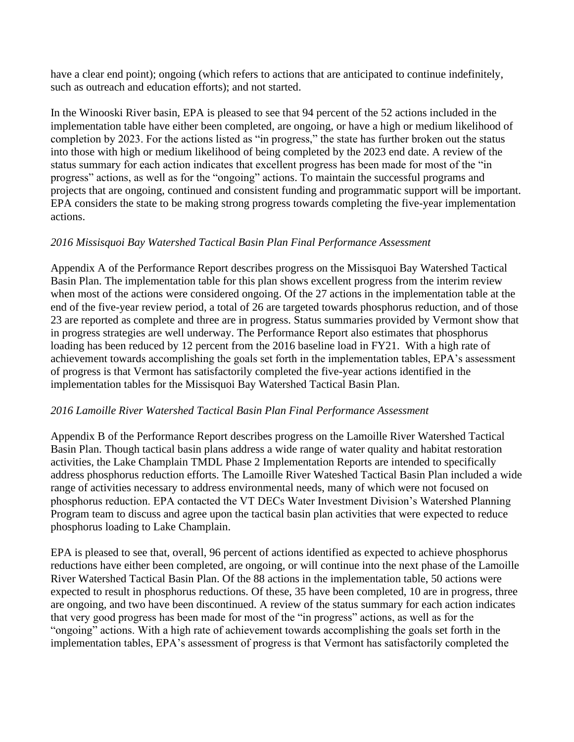have a clear end point); ongoing (which refers to actions that are anticipated to continue indefinitely, such as outreach and education efforts); and not started.

In the Winooski River basin, EPA is pleased to see that 94 percent of the 52 actions included in the implementation table have either been completed, are ongoing, or have a high or medium likelihood of completion by 2023. For the actions listed as "in progress," the state has further broken out the status into those with high or medium likelihood of being completed by the 2023 end date. A review of the status summary for each action indicates that excellent progress has been made for most of the "in progress" actions, as well as for the "ongoing" actions. To maintain the successful programs and projects that are ongoing, continued and consistent funding and programmatic support will be important. EPA considers the state to be making strong progress towards completing the five-year implementation actions.

## *2016 Missisquoi Bay Watershed Tactical Basin Plan Final Performance Assessment*

Appendix A of the Performance Report describes progress on the Missisquoi Bay Watershed Tactical Basin Plan. The implementation table for this plan shows excellent progress from the interim review when most of the actions were considered ongoing. Of the 27 actions in the implementation table at the end of the five-year review period, a total of 26 are targeted towards phosphorus reduction, and of those 23 are reported as complete and three are in progress. Status summaries provided by Vermont show that in progress strategies are well underway. The Performance Report also estimates that phosphorus loading has been reduced by 12 percent from the 2016 baseline load in FY21. With a high rate of achievement towards accomplishing the goals set forth in the implementation tables, EPA's assessment of progress is that Vermont has satisfactorily completed the five-year actions identified in the implementation tables for the Missisquoi Bay Watershed Tactical Basin Plan.

## *2016 Lamoille River Watershed Tactical Basin Plan Final Performance Assessment*

Appendix B of the Performance Report describes progress on the Lamoille River Watershed Tactical Basin Plan. Though tactical basin plans address a wide range of water quality and habitat restoration activities, the Lake Champlain TMDL Phase 2 Implementation Reports are intended to specifically address phosphorus reduction efforts. The Lamoille River Wateshed Tactical Basin Plan included a wide range of activities necessary to address environmental needs, many of which were not focused on phosphorus reduction. EPA contacted the VT DECs Water Investment Division's Watershed Planning Program team to discuss and agree upon the tactical basin plan activities that were expected to reduce phosphorus loading to Lake Champlain.

EPA is pleased to see that, overall, 96 percent of actions identified as expected to achieve phosphorus reductions have either been completed, are ongoing, or will continue into the next phase of the Lamoille River Watershed Tactical Basin Plan. Of the 88 actions in the implementation table, 50 actions were expected to result in phosphorus reductions. Of these, 35 have been completed, 10 are in progress, three are ongoing, and two have been discontinued. A review of the status summary for each action indicates that very good progress has been made for most of the "in progress" actions, as well as for the "ongoing" actions. With a high rate of achievement towards accomplishing the goals set forth in the implementation tables, EPA's assessment of progress is that Vermont has satisfactorily completed the